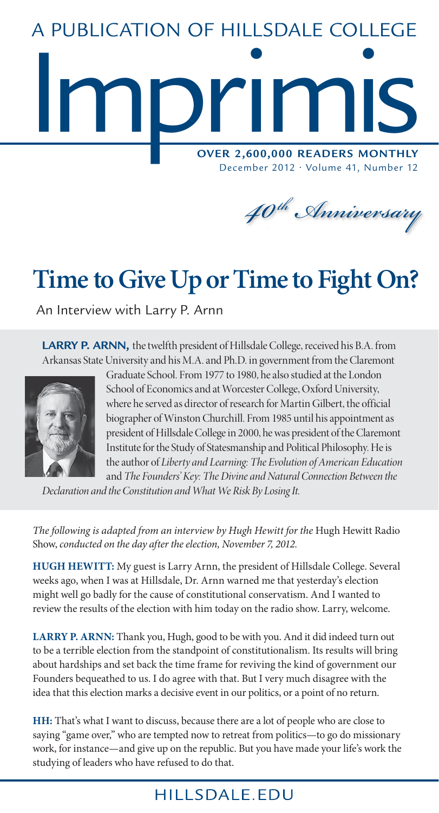# **Imprimis Over 2,600,000 Readers Monthly** A Publication of Hillsdale College

December 2012 • Volume 41, Number 12

*40th Anniversary*

## **Time to Give Up or Time to Fight On?**

An Interview with Larry P. Arnn

LARRY P. ARNN, the twelfth president of Hillsdale College, received his B.A. from Arkansas State University and his M.A. and Ph.D. in government from the Claremont



Graduate School. From 1977 to 1980, he also studied at the London School of Economics and at Worcester College, Oxford University, where he served as director of research for Martin Gilbert, the official biographer of Winston Churchill. From 1985 until his appointment as president of Hillsdale College in 2000, he was president of the Claremont Institute for the Study of Statesmanship and Political Philosophy. He is the author of *Liberty and Learning: The Evolution of American Education* and *The Founders' Key: The Divine and Natural Connection Between the* 

*Declaration and the Constitution and What We Risk By Losing It*.

*The following is adapted from an interview by Hugh Hewitt for the* Hugh Hewitt Radio Show, *conducted on the day after the election, November 7, 2012.*

**Hugh Hewitt:** My guest is Larry Arnn, the president of Hillsdale College. Several weeks ago, when I was at Hillsdale, Dr. Arnn warned me that yesterday's election might well go badly for the cause of constitutional conservatism. And I wanted to review the results of the election with him today on the radio show. Larry, welcome.

LARRY P. ARNN: Thank you, Hugh, good to be with you. And it did indeed turn out to be a terrible election from the standpoint of constitutionalism. Its results will bring about hardships and set back the time frame for reviving the kind of government our Founders bequeathed to us. I do agree with that. But I very much disagree with the idea that this election marks a decisive event in our politics, or a point of no return.

**HH:** That's what I want to discuss, because there are a lot of people who are close to saying "game over," who are tempted now to retreat from politics—to go do missionary work, for instance—and give up on the republic. But you have made your life's work the studying of leaders who have refused to do that.

### HILLSDALE, EDU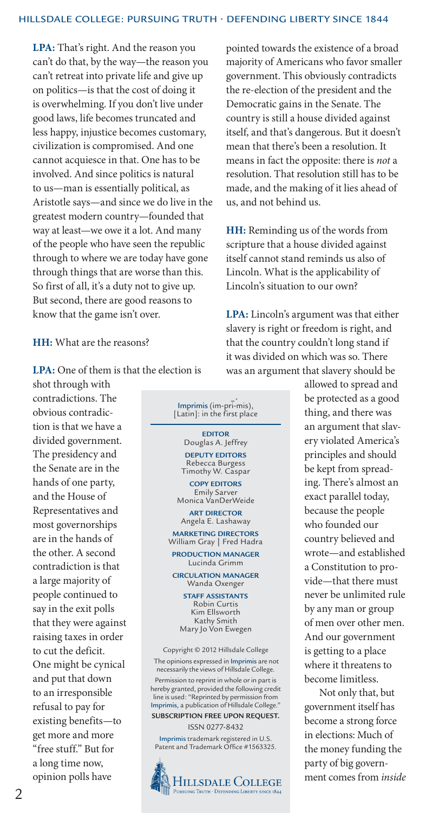**LPA:** That's right. And the reason you can't do that, by the way—the reason you can't retreat into private life and give up on politics—is that the cost of doing it is overwhelming. If you don't live under good laws, life becomes truncated and less happy, injustice becomes customary, civilization is compromised. And one cannot acquiesce in that. One has to be involved. And since politics is natural to us—man is essentially political, as Aristotle says—and since we do live in the greatest modern country—founded that way at least—we owe it a lot. And many of the people who have seen the republic through to where we are today have gone through things that are worse than this. So first of all, it's a duty not to give up. But second, there are good reasons to know that the game isn't over.

#### **HH:** What are the reasons?

**LPA:** One of them is that the election is

shot through with contradictions. The obvious contradiction is that we have a divided government. The presidency and the Senate are in the hands of one party, and the House of Representatives and most governorships are in the hands of the other. A second contradiction is that a large majority of people continued to say in the exit polls that they were against raising taxes in order to cut the deficit. One might be cynical and put that down to an irresponsible refusal to pay for existing benefits—to get more and more "free stuff." But for a long time now, opinion polls have



**HILLSDALE COLLEGE** PURSUING TRUTH · DEFENDING LIBERTY SINCE 1844

pointed towards the existence of a broad majority of Americans who favor smaller government. This obviously contradicts the re-election of the president and the Democratic gains in the Senate. The country is still a house divided against itself, and that's dangerous. But it doesn't mean that there's been a resolution. It means in fact the opposite: there is *not* a resolution. That resolution still has to be made, and the making of it lies ahead of us, and not behind us.

**HH:** Reminding us of the words from scripture that a house divided against itself cannot stand reminds us also of Lincoln. What is the applicability of Lincoln's situation to our own?

**LPA:** Lincoln's argument was that either slavery is right or freedom is right, and that the country couldn't long stand if it was divided on which was so. There was an argument that slavery should be

> allowed to spread and be protected as a good thing, and there was an argument that slavery violated America's principles and should be kept from spreading. There's almost an exact parallel today, because the people who founded our country believed and wrote—and established a Constitution to provide—that there must never be unlimited rule by any man or group of men over other men. And our government is getting to a place where it threatens to become limitless.

> Not only that, but government itself has become a strong force in elections: Much of the money funding the party of big government comes from *inside*

 $\mathfrak{D}$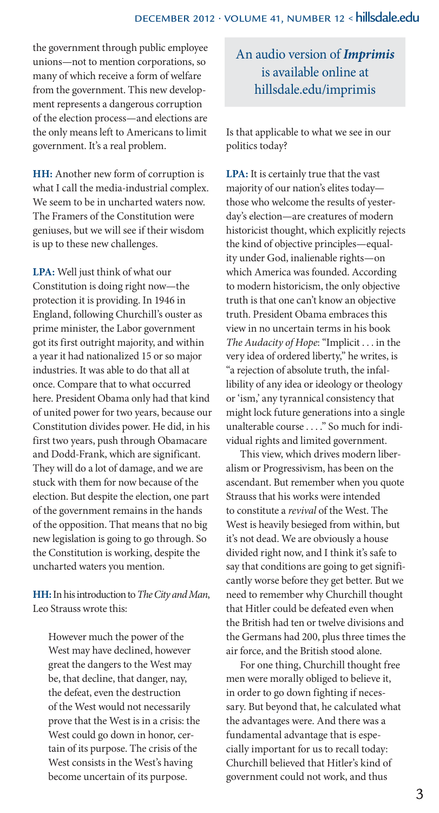the government through public employee unions—not to mention corporations, so many of which receive a form of welfare from the government. This new development represents a dangerous corruption of the election process—and elections are the only means left to Americans to limit government. It's a real problem.

**HH:** Another new form of corruption is what I call the media-industrial complex. We seem to be in uncharted waters now. The Framers of the Constitution were geniuses, but we will see if their wisdom is up to these new challenges.

**LPA:** Well just think of what our Constitution is doing right now—the protection it is providing. In 1946 in England, following Churchill's ouster as prime minister, the Labor government got its first outright majority, and within a year it had nationalized 15 or so major industries. It was able to do that all at once. Compare that to what occurred here. President Obama only had that kind of united power for two years, because our Constitution divides power. He did, in his first two years, push through Obamacare and Dodd-Frank, which are significant. They will do a lot of damage, and we are stuck with them for now because of the election. But despite the election, one part of the government remains in the hands of the opposition. That means that no big new legislation is going to go through. So the Constitution is working, despite the uncharted waters you mention.

**HH:** In his introduction to *The City and Man*, Leo Strauss wrote this:

However much the power of the West may have declined, however great the dangers to the West may be, that decline, that danger, nay, the defeat, even the destruction of the West would not necessarily prove that the West is in a crisis: the West could go down in honor, certain of its purpose. The crisis of the West consists in the West's having become uncertain of its purpose.

#### An audio version of *Imprimis* is available online at hillsdale.edu/imprimis

Is that applicable to what we see in our politics today?

**LPA:** It is certainly true that the vast majority of our nation's elites today those who welcome the results of yesterday's election—are creatures of modern historicist thought, which explicitly rejects the kind of objective principles—equality under God, inalienable rights—on which America was founded. According to modern historicism, the only objective truth is that one can't know an objective truth. President Obama embraces this view in no uncertain terms in his book *The Audacity of Hope*: "Implicit . . . in the very idea of ordered liberty," he writes, is "a rejection of absolute truth, the infallibility of any idea or ideology or theology or 'ism,' any tyrannical consistency that might lock future generations into a single unalterable course . . . ." So much for individual rights and limited government.

This view, which drives modern liberalism or Progressivism, has been on the ascendant. But remember when you quote Strauss that his works were intended to constitute a *revival* of the West. The West is heavily besieged from within, but it's not dead. We are obviously a house divided right now, and I think it's safe to say that conditions are going to get significantly worse before they get better. But we need to remember why Churchill thought that Hitler could be defeated even when the British had ten or twelve divisions and the Germans had 200, plus three times the air force, and the British stood alone.

For one thing, Churchill thought free men were morally obliged to believe it, in order to go down fighting if necessary. But beyond that, he calculated what the advantages were. And there was a fundamental advantage that is especially important for us to recall today: Churchill believed that Hitler's kind of government could not work, and thus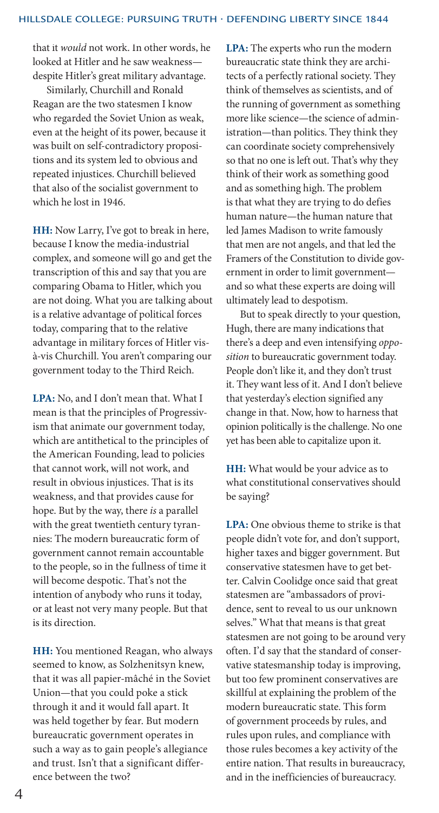that it *would* not work. In other words, he looked at Hitler and he saw weakness despite Hitler's great military advantage.

Similarly, Churchill and Ronald Reagan are the two statesmen I know who regarded the Soviet Union as weak, even at the height of its power, because it was built on self-contradictory propositions and its system led to obvious and repeated injustices. Churchill believed that also of the socialist government to which he lost in 1946.

**HH:** Now Larry, I've got to break in here, because I know the media-industrial complex, and someone will go and get the transcription of this and say that you are comparing Obama to Hitler, which you are not doing. What you are talking about is a relative advantage of political forces today, comparing that to the relative advantage in military forces of Hitler visà-vis Churchill. You aren't comparing our government today to the Third Reich.

**LPA:** No, and I don't mean that. What I mean is that the principles of Progressivism that animate our government today, which are antithetical to the principles of the American Founding, lead to policies that cannot work, will not work, and result in obvious injustices. That is its weakness, and that provides cause for hope. But by the way, there *is* a parallel with the great twentieth century tyrannies: The modern bureaucratic form of government cannot remain accountable to the people, so in the fullness of time it will become despotic. That's not the intention of anybody who runs it today, or at least not very many people. But that is its direction.

**HH:** You mentioned Reagan, who always seemed to know, as Solzhenitsyn knew, that it was all papier-mâché in the Soviet Union—that you could poke a stick through it and it would fall apart. It was held together by fear. But modern bureaucratic government operates in such a way as to gain people's allegiance and trust. Isn't that a significant difference between the two?

**LPA:** The experts who run the modern bureaucratic state think they are architects of a perfectly rational society. They think of themselves as scientists, and of the running of government as something more like science—the science of administration—than politics. They think they can coordinate society comprehensively so that no one is left out. That's why they think of their work as something good and as something high. The problem is that what they are trying to do defies human nature—the human nature that led James Madison to write famously that men are not angels, and that led the Framers of the Constitution to divide government in order to limit government and so what these experts are doing will ultimately lead to despotism.

But to speak directly to your question, Hugh, there are many indications that there's a deep and even intensifying *opposition* to bureaucratic government today. People don't like it, and they don't trust it. They want less of it. And I don't believe that yesterday's election signified any change in that. Now, how to harness that opinion politically is the challenge. No one yet has been able to capitalize upon it.

**HH:** What would be your advice as to what constitutional conservatives should be saying?

**LPA:** One obvious theme to strike is that people didn't vote for, and don't support, higher taxes and bigger government. But conservative statesmen have to get better. Calvin Coolidge once said that great statesmen are "ambassadors of providence, sent to reveal to us our unknown selves." What that means is that great statesmen are not going to be around very often. I'd say that the standard of conservative statesmanship today is improving, but too few prominent conservatives are skillful at explaining the problem of the modern bureaucratic state. This form of government proceeds by rules, and rules upon rules, and compliance with those rules becomes a key activity of the entire nation. That results in bureaucracy, and in the inefficiencies of bureaucracy.